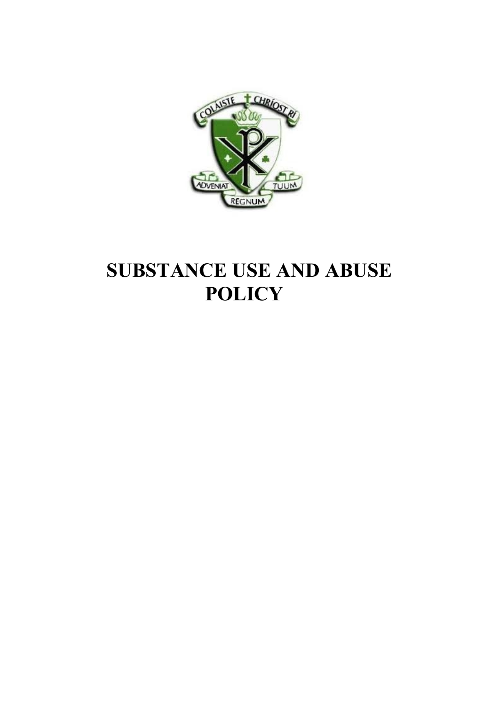

# **SUBSTANCE USE AND ABUSE POLICY**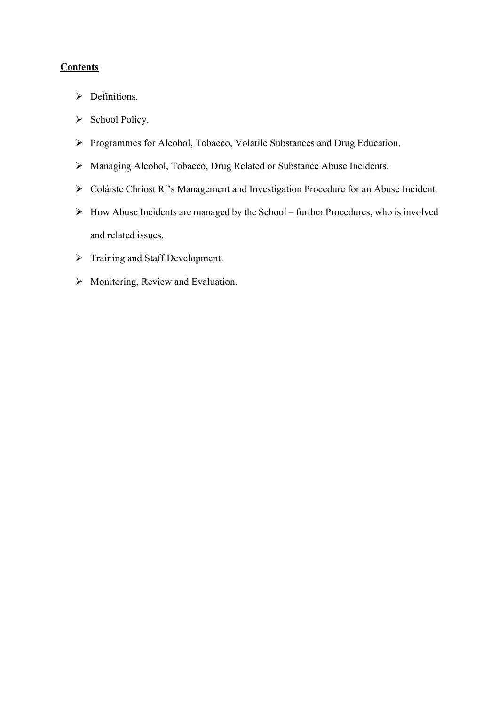# **Contents**

- $\triangleright$  Definitions.
- $\triangleright$  School Policy.
- Ø Programmes for Alcohol, Tobacco, Volatile Substances and Drug Education.
- Ø Managing Alcohol, Tobacco, Drug Related or Substance Abuse Incidents.
- Ø Coláiste Chríost Rí's Management and Investigation Procedure for an Abuse Incident.
- $\triangleright$  How Abuse Incidents are managed by the School further Procedures, who is involved and related issues.
- Ø Training and Staff Development.
- $\triangleright$  Monitoring, Review and Evaluation.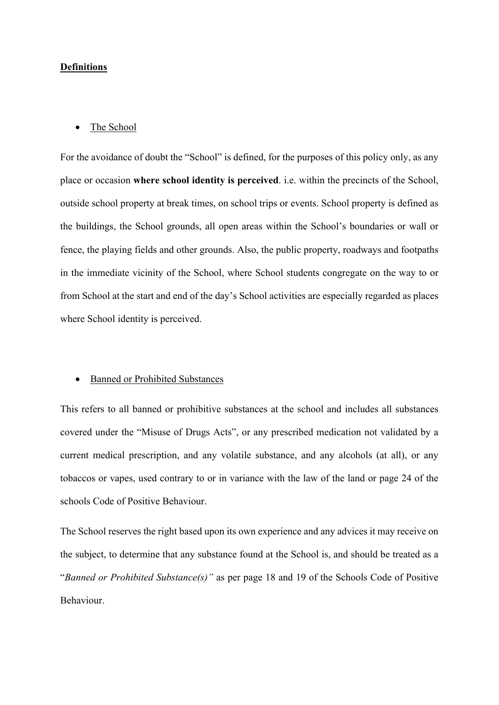# **Definitions**

#### • The School

For the avoidance of doubt the "School" is defined, for the purposes of this policy only, as any place or occasion **where school identity is perceived**. i.e. within the precincts of the School, outside school property at break times, on school trips or events. School property is defined as the buildings, the School grounds, all open areas within the School's boundaries or wall or fence, the playing fields and other grounds. Also, the public property, roadways and footpaths in the immediate vicinity of the School, where School students congregate on the way to or from School at the start and end of the day's School activities are especially regarded as places where School identity is perceived.

#### • Banned or Prohibited Substances

This refers to all banned or prohibitive substances at the school and includes all substances covered under the "Misuse of Drugs Acts", or any prescribed medication not validated by a current medical prescription, and any volatile substance, and any alcohols (at all), or any tobaccos or vapes, used contrary to or in variance with the law of the land or page 24 of the schools Code of Positive Behaviour.

The School reserves the right based upon its own experience and any advices it may receive on the subject, to determine that any substance found at the School is, and should be treated as a "*Banned or Prohibited Substance(s)"* as per page 18 and 19 of the Schools Code of Positive Behaviour.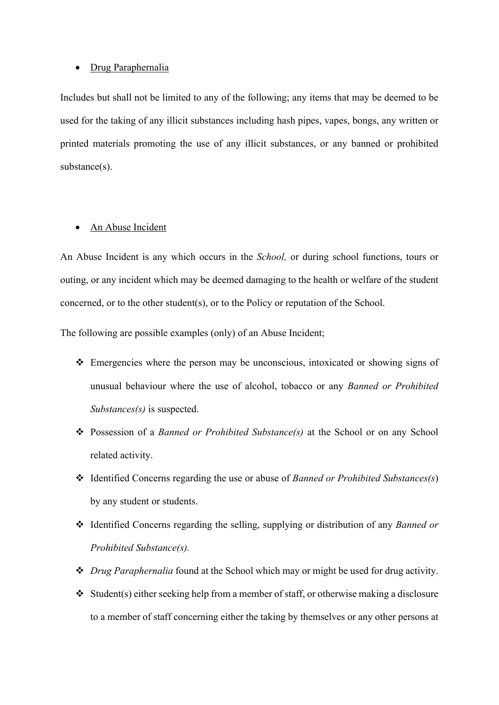#### • Drug Paraphernalia

Includes but shall not be limited to any of the following; any items that may be deemed to be used for the taking of any illicit substances including hash pipes, vapes, bongs, any written or printed materials promoting the use of any illicit substances, or any banned or prohibited substance(s).

# • An Abuse Incident

An Abuse Incident is any which occurs in the *School,* or during school functions, tours or outing, or any incident which may be deemed damaging to the health or welfare of the student concerned, or to the other student(s), or to the Policy or reputation of the School.

The following are possible examples (only) of an Abuse Incident;

- $\triangle$  Emergencies where the person may be unconscious, intoxicated or showing signs of unusual behaviour where the use of alcohol, tobacco or any *Banned or Prohibited Substances(s)* is suspected.
- v Possession of a *Banned or Prohibited Substance(s)* at the School or on any School related activity.
- v Identified Concerns regarding the use or abuse of *Banned or Prohibited Substances(s*) by any student or students.
- v Identified Concerns regarding the selling, supplying or distribution of any *Banned or Prohibited Substance(s).*
- v *Drug Paraphernalia* found at the School which may or might be used for drug activity.
- $\triangleleft$  Student(s) either seeking help from a member of staff, or otherwise making a disclosure to a member of staff concerning either the taking by themselves or any other persons at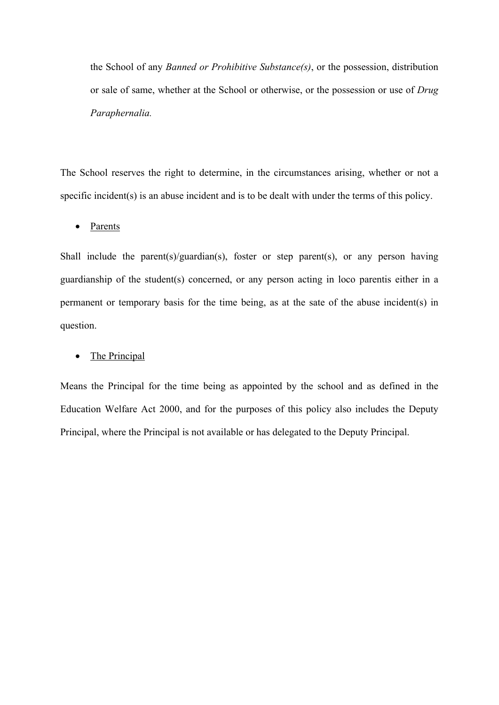the School of any *Banned or Prohibitive Substance(s)*, or the possession, distribution or sale of same, whether at the School or otherwise, or the possession or use of *Drug Paraphernalia.*

The School reserves the right to determine, in the circumstances arising, whether or not a specific incident(s) is an abuse incident and is to be dealt with under the terms of this policy.

• Parents

Shall include the parent(s)/guardian(s), foster or step parent(s), or any person having guardianship of the student(s) concerned, or any person acting in loco parentis either in a permanent or temporary basis for the time being, as at the sate of the abuse incident(s) in question.

# • The Principal

Means the Principal for the time being as appointed by the school and as defined in the Education Welfare Act 2000, and for the purposes of this policy also includes the Deputy Principal, where the Principal is not available or has delegated to the Deputy Principal.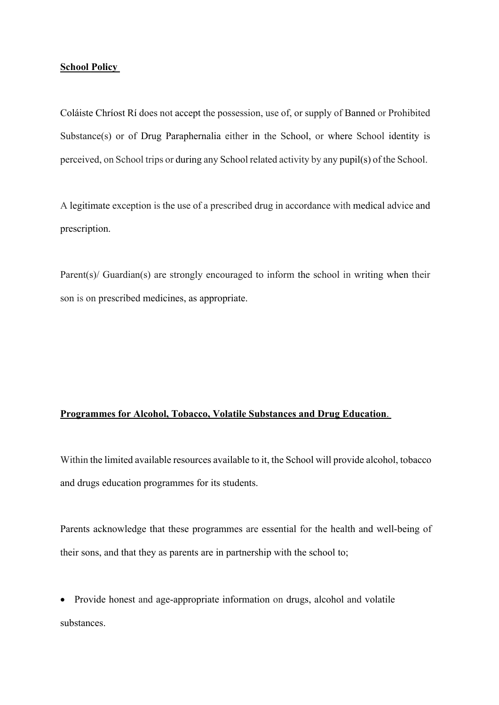## **School Policy**

Coláiste Chríost Rí does not accept the possession, use of, or supply of Banned or Prohibited Substance(s) or of Drug Paraphernalia either in the School, or where School identity is perceived, on School trips or during any School related activity by any pupil(s) of the School.

A legitimate exception is the use of a prescribed drug in accordance with medical advice and prescription.

Parent(s)/ Guardian(s) are strongly encouraged to inform the school in writing when their son is on prescribed medicines, as appropriate.

## **Programmes for Alcohol, Tobacco, Volatile Substances and Drug Education**.

Within the limited available resources available to it, the School will provide alcohol, tobacco and drugs education programmes for its students.

Parents acknowledge that these programmes are essential for the health and well-being of their sons, and that they as parents are in partnership with the school to;

• Provide honest and age-appropriate information on drugs, alcohol and volatile substances.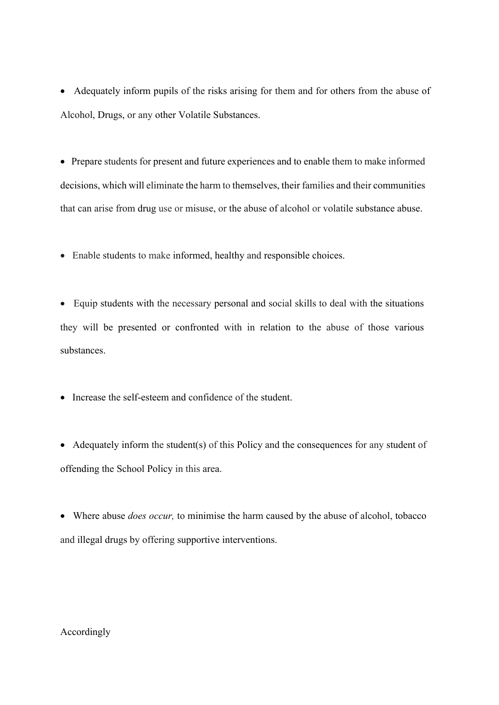• Adequately inform pupils of the risks arising for them and for others from the abuse of Alcohol, Drugs, or any other Volatile Substances.

• Prepare students for present and future experiences and to enable them to make informed decisions, which will eliminate the harm to themselves, their families and their communities that can arise from drug use or misuse, or the abuse of alcohol or volatile substance abuse.

• Enable students to make informed, healthy and responsible choices.

• Equip students with the necessary personal and social skills to deal with the situations they will be presented or confronted with in relation to the abuse of those various substances.

• Increase the self-esteem and confidence of the student.

• Adequately inform the student(s) of this Policy and the consequences for any student of offending the School Policy in this area.

• Where abuse *does occur,* to minimise the harm caused by the abuse of alcohol, tobacco and illegal drugs by offering supportive interventions.

## Accordingly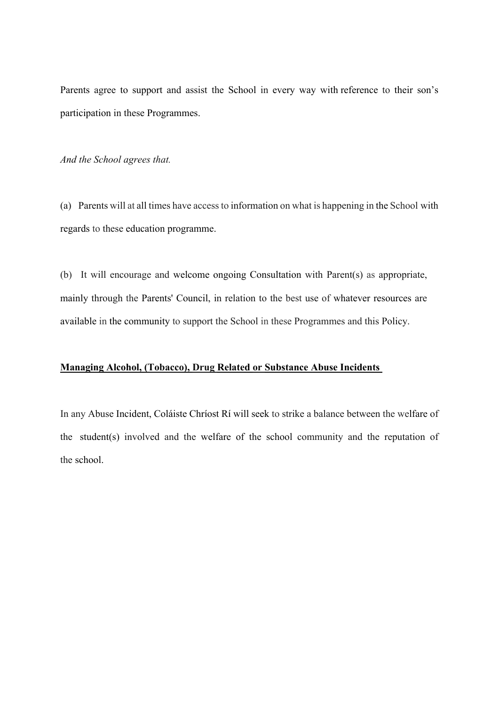Parents agree to support and assist the School in every way with reference to their son's participation in these Programmes.

*And the School agrees that.*

(a) Parents will at all times have access to information on what is happening in the School with regards to these education programme.

(b) It will encourage and welcome ongoing Consultation with Parent(s) as appropriate, mainly through the Parents' Council, in relation to the best use of whatever resources are available in the community to support the School in these Programmes and this Policy.

# **Managing Alcohol, (Tobacco), Drug Related or Substance Abuse Incidents**

In any Abuse Incident, Coláiste Chríost Rí will seek to strike a balance between the welfare of the student(s) involved and the welfare of the school community and the reputation of the school.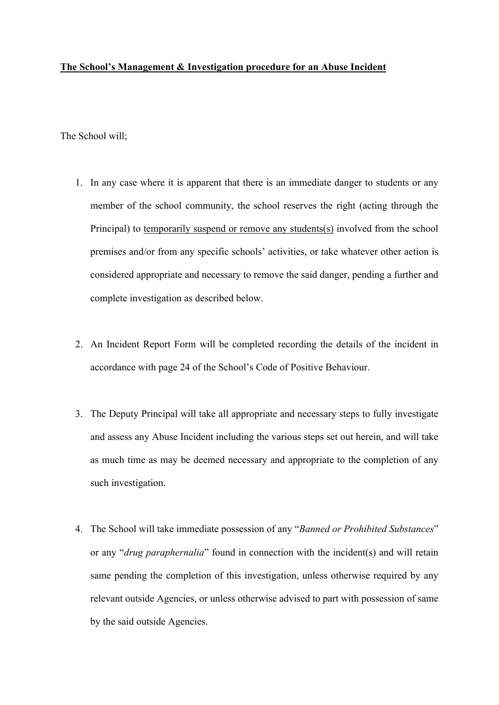## **The School's Management & Investigation procedure for an Abuse Incident**

The School will;

- 1. In any case where it is apparent that there is an immediate danger to students or any member of the school community, the school reserves the right (acting through the Principal) to temporarily suspend or remove any students(s) involved from the school premises and/or from any specific schools' activities, or take whatever other action is considered appropriate and necessary to remove the said danger, pending a further and complete investigation as described below.
- 2. An Incident Report Form will be completed recording the details of the incident in accordance with page 24 of the School's Code of Positive Behaviour.
- 3. The Deputy Principal will take all appropriate and necessary steps to fully investigate and assess any Abuse Incident including the various steps set out herein, and will take as much time as may be deemed necessary and appropriate to the completion of any such investigation.
- 4. The School will take immediate possession of any "*Banned or Prohibited Substances*" or any "*drug paraphernalia*" found in connection with the incident(s) and will retain same pending the completion of this investigation, unless otherwise required by any relevant outside Agencies, or unless otherwise advised to part with possession of same by the said outside Agencies.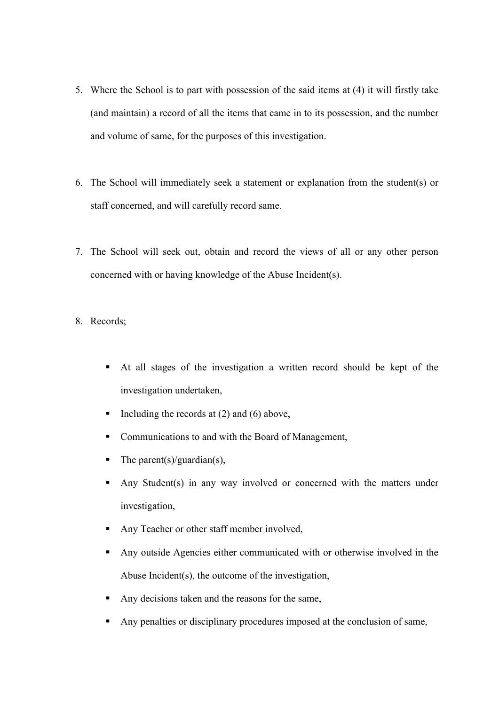- 5. Where the School is to part with possession of the said items at (4) it will firstly take (and maintain) a record of all the items that came in to its possession, and the number and volume of same, for the purposes of this investigation.
- 6. The School will immediately seek a statement or explanation from the student(s) or staff concerned, and will carefully record same.
- 7. The School will seek out, obtain and record the views of all or any other person concerned with or having knowledge of the Abuse Incident(s).
- 8. Records;
	- § At all stages of the investigation a written record should be kept of the investigation undertaken,
	- Including the records at  $(2)$  and  $(6)$  above,
	- Communications to and with the Board of Management,
	- The parent(s)/guardian(s),
	- Any Student(s) in any way involved or concerned with the matters under investigation,
	- § Any Teacher or other staff member involved,
	- Any outside Agencies either communicated with or otherwise involved in the Abuse Incident(s), the outcome of the investigation,
	- Any decisions taken and the reasons for the same,
	- Any penalties or disciplinary procedures imposed at the conclusion of same,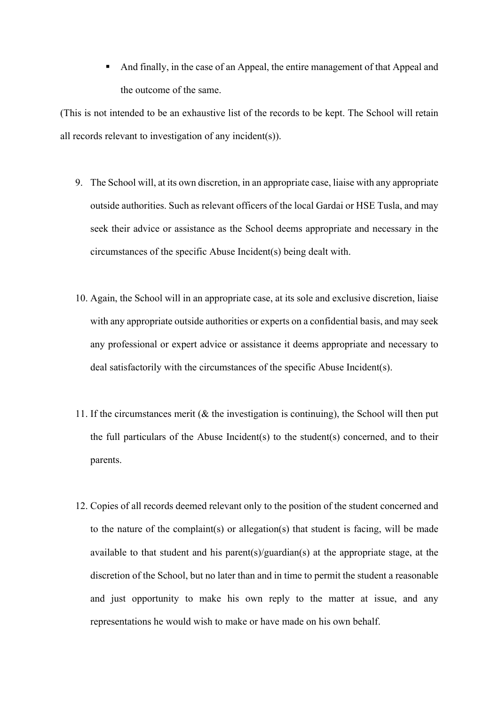And finally, in the case of an Appeal, the entire management of that Appeal and the outcome of the same.

(This is not intended to be an exhaustive list of the records to be kept. The School will retain all records relevant to investigation of any incident(s)).

- 9. The School will, at its own discretion, in an appropriate case, liaise with any appropriate outside authorities. Such as relevant officers of the local Gardai or HSE Tusla, and may seek their advice or assistance as the School deems appropriate and necessary in the circumstances of the specific Abuse Incident(s) being dealt with.
- 10. Again, the School will in an appropriate case, at its sole and exclusive discretion, liaise with any appropriate outside authorities or experts on a confidential basis, and may seek any professional or expert advice or assistance it deems appropriate and necessary to deal satisfactorily with the circumstances of the specific Abuse Incident(s).
- 11. If the circumstances merit (& the investigation is continuing), the School will then put the full particulars of the Abuse Incident(s) to the student(s) concerned, and to their parents.
- 12. Copies of all records deemed relevant only to the position of the student concerned and to the nature of the complaint(s) or allegation(s) that student is facing, will be made available to that student and his parent(s)/guardian(s) at the appropriate stage, at the discretion of the School, but no later than and in time to permit the student a reasonable and just opportunity to make his own reply to the matter at issue, and any representations he would wish to make or have made on his own behalf.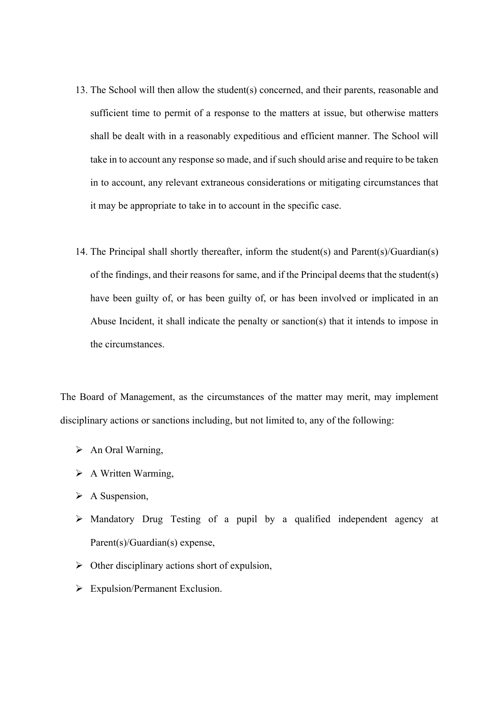- 13. The School will then allow the student(s) concerned, and their parents, reasonable and sufficient time to permit of a response to the matters at issue, but otherwise matters shall be dealt with in a reasonably expeditious and efficient manner. The School will take in to account any response so made, and if such should arise and require to be taken in to account, any relevant extraneous considerations or mitigating circumstances that it may be appropriate to take in to account in the specific case.
- 14. The Principal shall shortly thereafter, inform the student(s) and Parent(s)/Guardian(s) of the findings, and their reasons for same, and if the Principal deems that the student(s) have been guilty of, or has been guilty of, or has been involved or implicated in an Abuse Incident, it shall indicate the penalty or sanction(s) that it intends to impose in the circumstances.

The Board of Management, as the circumstances of the matter may merit, may implement disciplinary actions or sanctions including, but not limited to, any of the following:

- $\triangleright$  An Oral Warning,
- $\triangleright$  A Written Warming,
- $\triangleright$  A Suspension,
- $\triangleright$  Mandatory Drug Testing of a pupil by a qualified independent agency at Parent(s)/Guardian(s) expense,
- $\triangleright$  Other disciplinary actions short of expulsion,
- Ø Expulsion/Permanent Exclusion.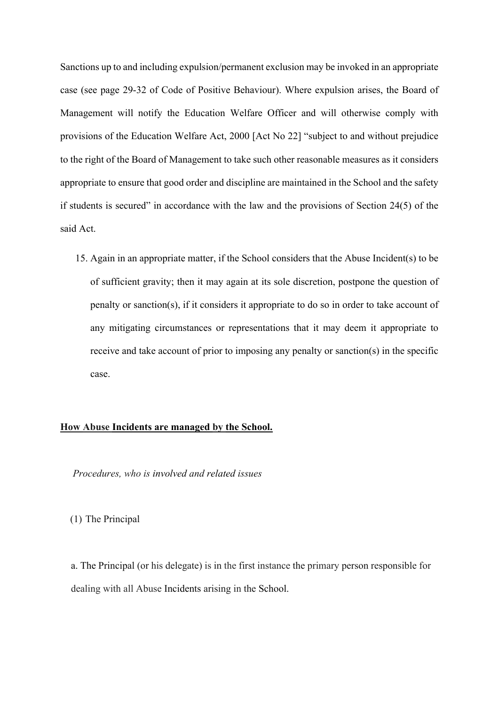Sanctions up to and including expulsion/permanent exclusion may be invoked in an appropriate case (see page 29-32 of Code of Positive Behaviour). Where expulsion arises, the Board of Management will notify the Education Welfare Officer and will otherwise comply with provisions of the Education Welfare Act, 2000 [Act No 22] "subject to and without prejudice to the right of the Board of Management to take such other reasonable measures as it considers appropriate to ensure that good order and discipline are maintained in the School and the safety if students is secured" in accordance with the law and the provisions of Section 24(5) of the said Act.

15. Again in an appropriate matter, if the School considers that the Abuse Incident(s) to be of sufficient gravity; then it may again at its sole discretion, postpone the question of penalty or sanction(s), if it considers it appropriate to do so in order to take account of any mitigating circumstances or representations that it may deem it appropriate to receive and take account of prior to imposing any penalty or sanction(s) in the specific case.

#### **How Abuse Incidents are managed by the School.**

*Procedures, who is involved and related issues*

(1) The Principal

a. The Principal (or his delegate) is in the first instance the primary person responsible for dealing with all Abuse Incidents arising in the School.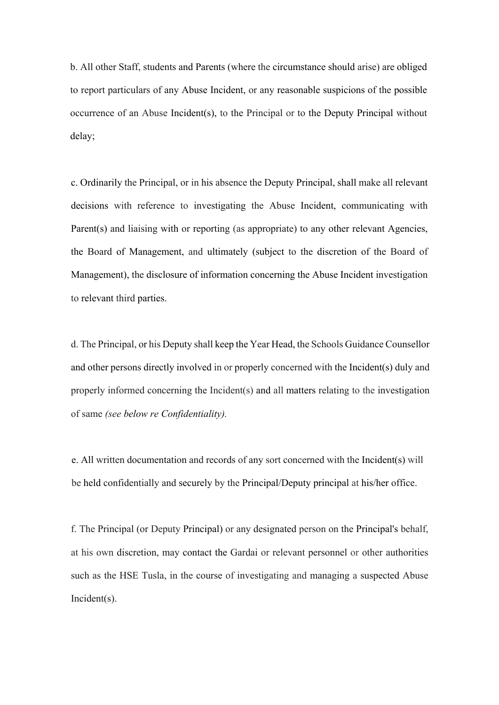b. All other Staff, students and Parents (where the circumstance should arise) are obliged to report particulars of any Abuse Incident, or any reasonable suspicions of the possible occurrence of an Abuse Incident(s), to the Principal or to the Deputy Principal without delay;

c. Ordinarily the Principal, or in his absence the Deputy Principal, shall make all relevant decisions with reference to investigating the Abuse Incident, communicating with Parent(s) and liaising with or reporting (as appropriate) to any other relevant Agencies, the Board of Management, and ultimately (subject to the discretion of the Board of Management), the disclosure of information concerning the Abuse Incident investigation to relevant third parties.

d. The Principal, or his Deputy shall keep the Year Head, the Schools Guidance Counsellor and other persons directly involved in or properly concerned with the Incident(s) duly and properly informed concerning the Incident(s) and all matters relating to the investigation of same *(see below re Confidentiality).*

e. All written documentation and records of any sort concerned with the Incident(s) will be held confidentially and securely by the Principal/Deputy principal at his/her office.

f. The Principal (or Deputy Principal) or any designated person on the Principal's behalf, at his own discretion, may contact the Gardai or relevant personnel or other authorities such as the HSE Tusla, in the course of investigating and managing a suspected Abuse Incident(s).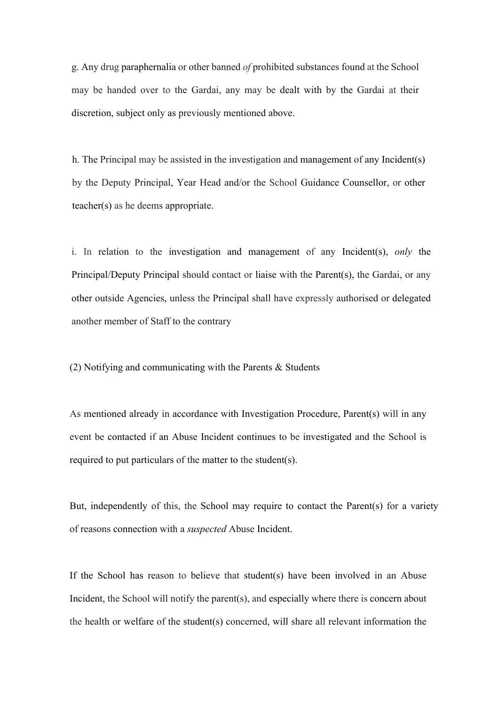g. Any drug paraphernalia or other banned *of* prohibited substances found at the School may be handed over to the Gardai, any may be dealt with by the Gardai at their discretion, subject only as previously mentioned above.

h. The Principal may be assisted in the investigation and management of any Incident(s) by the Deputy Principal, Year Head and/or the School Guidance Counsellor, or other teacher(s) as he deems appropriate.

i. In relation to the investigation and management of any Incident(s), *only* the Principal/Deputy Principal should contact or liaise with the Parent(s), the Gardai, or any other outside Agencies, unless the Principal shall have expressly authorised or delegated another member of Staff to the contrary

(2) Notifying and communicating with the Parents & Students

As mentioned already in accordance with Investigation Procedure, Parent(s) will in any event be contacted if an Abuse Incident continues to be investigated and the School is required to put particulars of the matter to the student(s).

But, independently of this, the School may require to contact the Parent(s) for a variety of reasons connection with a *suspected* Abuse Incident.

If the School has reason to believe that student(s) have been involved in an Abuse Incident, the School will notify the parent(s), and especially where there is concern about the health or welfare of the student(s) concerned, will share all relevant information the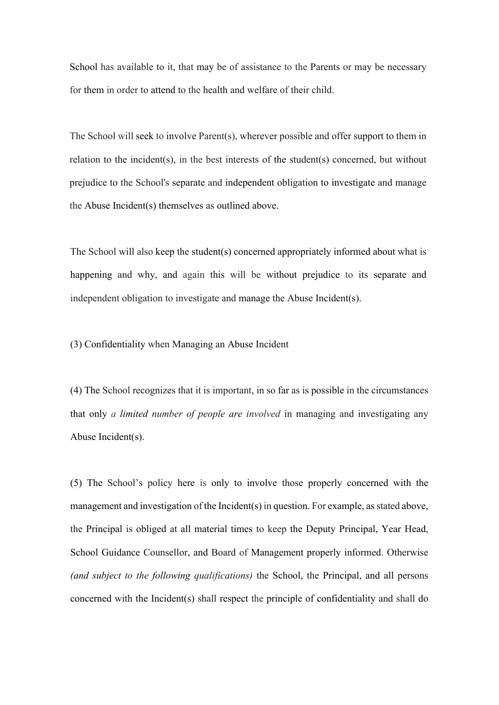School has available to it, that may be of assistance to the Parents or may be necessary for them in order to attend to the health and welfare of their child.

The School will seek to involve Parent(s), wherever possible and offer support to them in relation to the incident(s), in the best interests of the student(s) concerned, but without prejudice to the School's separate and independent obligation to investigate and manage the Abuse Incident(s) themselves as outlined above.

The School will also keep the student(s) concerned appropriately informed about what is happening and why, and again this will be without prejudice to its separate and independent obligation to investigate and manage the Abuse Incident(s).

# (3) Confidentiality when Managing an Abuse Incident

(4) The School recognizes that it is important, in so far as is possible in the circumstances that only *a limited number of people are involved* in managing and investigating any Abuse Incident(s).

(5) The School's policy here is only to involve those properly concerned with the management and investigation of the Incident(s) in question. For example, as stated above, the Principal is obliged at all material times to keep the Deputy Principal, Year Head, School Guidance Counsellor, and Board of Management properly informed. Otherwise *(and subject to the following qualifications)* the School, the Principal, and all persons concerned with the Incident(s) shall respect the principle of confidentiality and shall do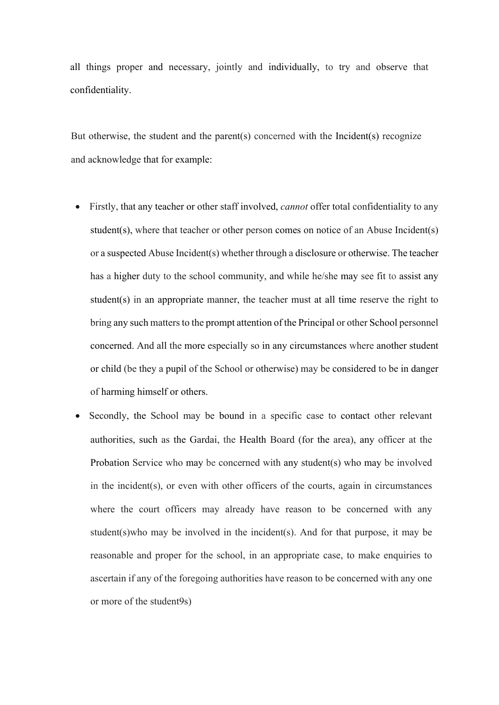all things proper and necessary, jointly and individually, to try and observe that confidentiality.

But otherwise, the student and the parent(s) concerned with the Incident(s) recognize and acknowledge that for example:

- Firstly, that any teacher or other staff involved, *cannot* offer total confidentiality to any student(s), where that teacher or other person comes on notice of an Abuse Incident(s) or a suspected Abuse Incident(s) whether through a disclosure or otherwise. The teacher has a higher duty to the school community, and while he/she may see fit to assist any student(s) in an appropriate manner, the teacher must at all time reserve the right to bring any such matters to the prompt attention of the Principal or other School personnel concerned. And all the more especially so in any circumstances where another student or child (be they a pupil of the School or otherwise) may be considered to be in danger of harming himself or others.
- Secondly, the School may be bound in a specific case to contact other relevant authorities, such as the Gardai, the Health Board (for the area), any officer at the Probation Service who may be concerned with any student(s) who may be involved in the incident(s), or even with other officers of the courts, again in circumstances where the court officers may already have reason to be concerned with any student(s)who may be involved in the incident(s). And for that purpose, it may be reasonable and proper for the school, in an appropriate case, to make enquiries to ascertain if any of the foregoing authorities have reason to be concerned with any one or more of the student9s)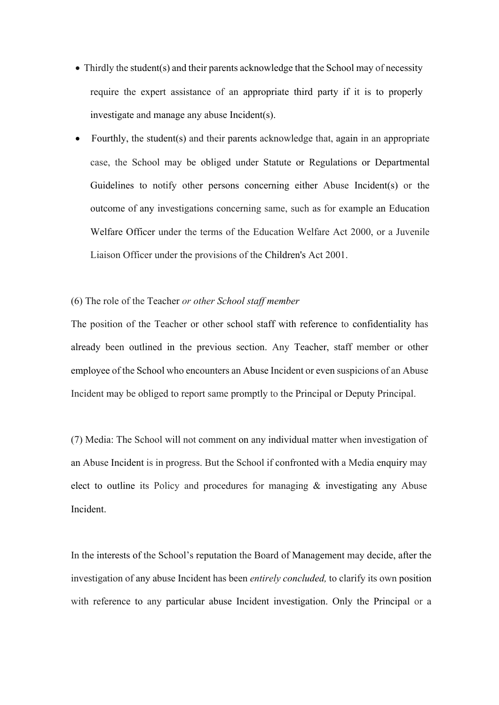- Thirdly the student(s) and their parents acknowledge that the School may of necessity require the expert assistance of an appropriate third party if it is to properly investigate and manage any abuse Incident(s).
- Fourthly, the student(s) and their parents acknowledge that, again in an appropriate case, the School may be obliged under Statute or Regulations or Departmental Guidelines to notify other persons concerning either Abuse Incident(s) or the outcome of any investigations concerning same, such as for example an Education Welfare Officer under the terms of the Education Welfare Act 2000, or a Juvenile Liaison Officer under the provisions of the Children's Act 2001.

# (6) The role of the Teacher *or other School staff member*

The position of the Teacher or other school staff with reference to confidentiality has already been outlined in the previous section. Any Teacher, staff member or other employee of the School who encounters an Abuse Incident or even suspicions of an Abuse Incident may be obliged to report same promptly to the Principal or Deputy Principal.

(7) Media: The School will not comment on any individual matter when investigation of an Abuse Incident is in progress. But the School if confronted with a Media enquiry may elect to outline its Policy and procedures for managing & investigating any Abuse Incident.

In the interests of the School's reputation the Board of Management may decide, after the investigation of any abuse Incident has been *entirely concluded,* to clarify its own position with reference to any particular abuse Incident investigation. Only the Principal or a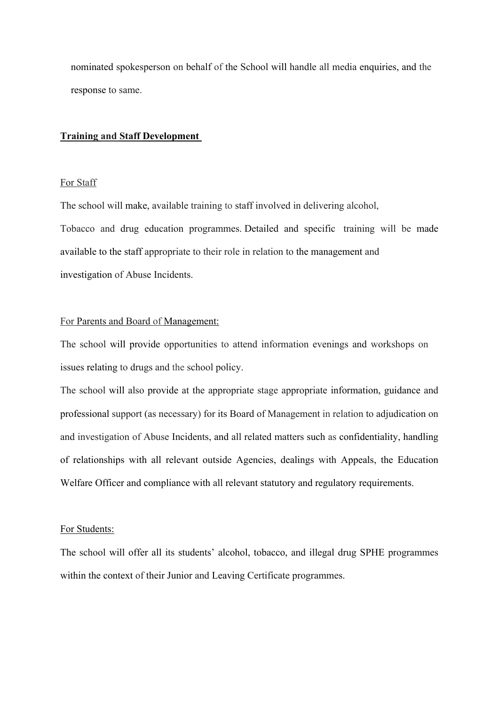nominated spokesperson on behalf of the School will handle all media enquiries, and the response to same.

# **Training and Staff Development**

#### For Staff

The school will make, available training to staff involved in delivering alcohol, Tobacco and drug education programmes. Detailed and specific training will be made available to the staff appropriate to their role in relation to the management and investigation of Abuse Incidents.

# For Parents and Board of Management:

The school will provide opportunities to attend information evenings and workshops on issues relating to drugs and the school policy.

The school will also provide at the appropriate stage appropriate information, guidance and professional support (as necessary) for its Board of Management in relation to adjudication on and investigation of Abuse Incidents, and all related matters such as confidentiality, handling of relationships with all relevant outside Agencies, dealings with Appeals, the Education Welfare Officer and compliance with all relevant statutory and regulatory requirements.

## For Students:

The school will offer all its students' alcohol, tobacco, and illegal drug SPHE programmes within the context of their Junior and Leaving Certificate programmes.